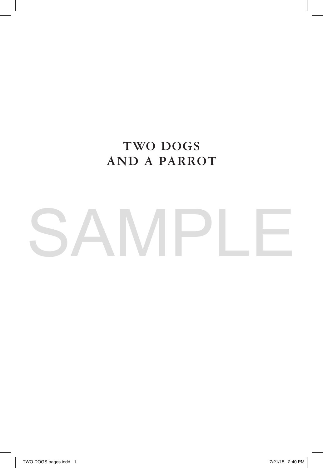#### **TWO DOGS AND A PARROT**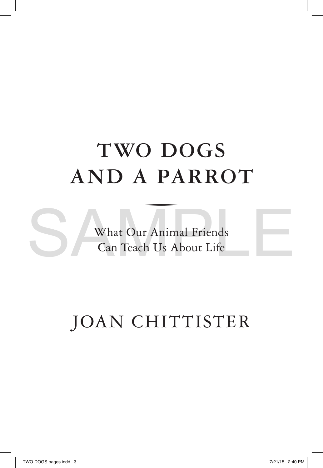### **TWO DOGS AND A PARROT**

What Our Animal Friends Can Teach Us About Life What Our Animal Friends<br>Can Teach Us About Life

-

JOAN CHITTISTER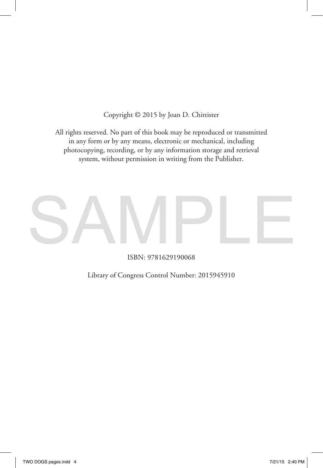Copyright © 2015 by Joan D. Chittister

All rights reserved. No part of this book may be reproduced or transmitted in any form or by any means, electronic or mechanical, including photocopying, recording, or by any information storage and retrieval system, without permission in writing from the Publisher.



ISBN: 9781629190068

Library of Congress Control Number: 2015945910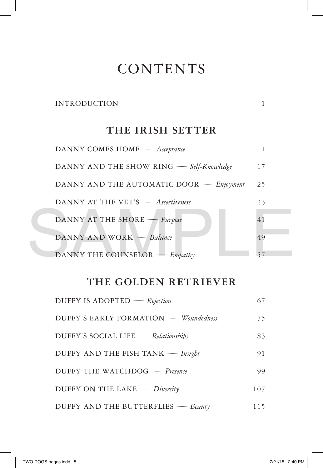#### **CONTENTS**

INTRODUCTION 1

#### **THE IRISH SETTER**

| DANNY COMES HOME - Acceptance                     | 11 |
|---------------------------------------------------|----|
| DANNY AND THE SHOW RING - Self-Knowledge          | 17 |
| DANNY AND THE AUTOMATIC DOOR $-$ <i>Enjoyment</i> | 25 |
| DANNY AT THE VET'S - Assertiveness                | 33 |
| DANNY AT THE SHORE - Purpose                      | 41 |
| DANNY AND WORK — Balance                          | 49 |
| DANNY THE COUNSELOR $-$ <i>Empathy</i>            |    |
|                                                   |    |

#### **THE GOLDEN RETRIEVER**

| DUFFY IS ADOPTED - Rejection          | 67  |
|---------------------------------------|-----|
| DUFFY'S EARLY FORMATION - Woundedness | 75  |
| DUFFY'S SOCIAL LIFE - Relationships   | 83  |
| DUFFY AND THE FISH TANK - Insight     | 91  |
| DUFFY THE WATCHDOG - Presence         | 99  |
| DUFFY ON THE LAKE - Diversity         | 107 |
| DUFFY AND THE BUTTERFLIES - Beauty    | 115 |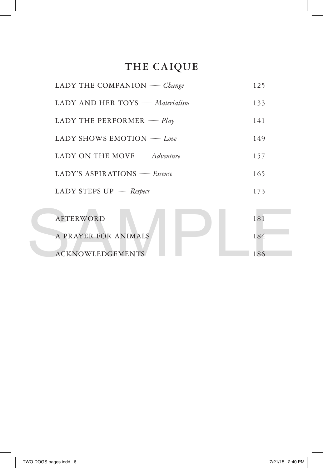#### **THE CAIQUE**

| LADY THE COMPANION - Change                                         | 125               |
|---------------------------------------------------------------------|-------------------|
| LADY AND HER TOYS $-$ Materialism                                   | 133               |
| LADY THE PERFORMER $-$ Play                                         | 141               |
| LADY SHOWS EMOTION $-$ Love                                         | 149               |
| LADY ON THE MOVE $-$ Adventure                                      | 157               |
| LADY'S ASPIRATIONS $-$ Essence                                      | 165               |
| LADY STEPS $UP$ - Respect                                           | 173               |
| <b>AFTERWORD</b><br>A PRAYER FOR ANIMALS<br><b>ACKNOWLEDGEMENTS</b> | 181<br>184<br>186 |
|                                                                     |                   |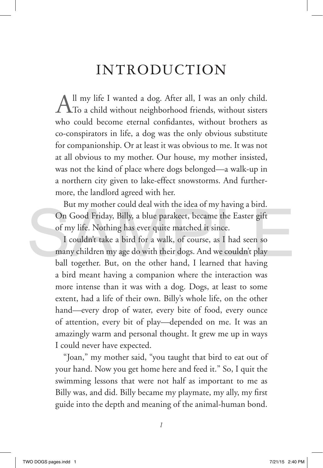#### INTRODUCTION

All my life I wanted a dog. After all, I was an only child.<br>To a child without neighborhood friends, without sisters who could become eternal confidantes, without brothers as co-conspirators in life, a dog was the only obvious substitute for companionship. Or at least it was obvious to me. It was not at all obvious to my mother. Our house, my mother insisted, was not the kind of place where dogs belonged—a walk-up in a northern city given to lake-effect snowstorms. And furthermore, the landlord agreed with her.

But my mother could deal with the idea of my having a bird. On Good Friday, Billy, a blue parakeet, became the Easter gift of my life. Nothing has ever quite matched it since.

I couldn't take a bird for a walk, of course, as I had seen so many children my age do with their dogs. And we couldn't play ball together. But, on the other hand, I learned that having a bird meant having a companion where the interaction was more intense than it was with a dog. Dogs, at least to some extent, had a life of their own. Billy's whole life, on the other hand—every drop of water, every bite of food, every ounce of attention, every bit of play—depended on me. It was an amazingly warm and personal thought. It grew me up in ways I could never have expected. On Good Friday, Billy, a blue parakeet, became the Easter gift<br>of my life. Nothing has ever quite matched it since.<br>I couldn't take a bird for a walk, of course, as I had seen so<br>many children my age do with their dogs. An

> "Joan," my mother said, "you taught that bird to eat out of your hand. Now you get home here and feed it." So, I quit the swimming lessons that were not half as important to me as Billy was, and did. Billy became my playmate, my ally, my first guide into the depth and meaning of the animal-human bond.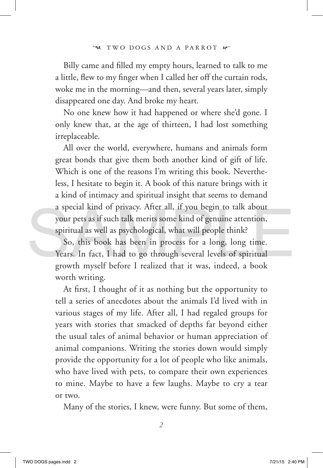Billy came and filled my empty hours, learned to talk to me a little, flew to my finger when I called her off the curtain rods, woke me in the morning—and then, several years later, simply disappeared one day. And broke my heart.

No one knew how it had happened or where she'd gone. I only knew that, at the age of thirteen, I had lost something irreplaceable.

All over the world, everywhere, humans and animals form great bonds that give them both another kind of gift of life. Which is one of the reasons I'm writing this book. Nevertheless, I hesitate to begin it. A book of this nature brings with it a kind of intimacy and spiritual insight that seems to demand a special kind of privacy. After all, if you begin to talk about your pets as if such talk merits some kind of genuine attention, spiritual as well as psychological, what will people think?

So, this book has been in process for a long, long time. Years. In fact, I had to go through several levels of spiritual growth myself before I realized that it was, indeed, a book worth writing. a special kind of privacy. After all, if you begin to talk about<br>your pets as if such talk merits some kind of genuine attention,<br>spiritual as well as psychological, what will people think?<br>So, this book has been in proces

> At first, I thought of it as nothing but the opportunity to tell a series of anecdotes about the animals I'd lived with in various stages of my life. After all, I had regaled groups for years with stories that smacked of depths far beyond either the usual tales of animal behavior or human appreciation of animal companions. Writing the stories down would simply provide the opportunity for a lot of people who like animals, who have lived with pets, to compare their own experiences to mine. Maybe to have a few laughs. Maybe to cry a tear or two.

Many of the stories, I knew, were funny. But some of them,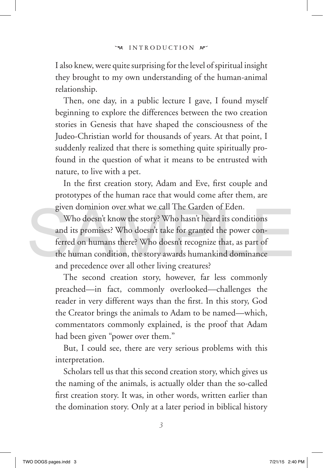I also knew, were quite surprising for the level of spiritual insight they brought to my own understanding of the human-animal relationship.

Then, one day, in a public lecture I gave, I found myself beginning to explore the differences between the two creation stories in Genesis that have shaped the consciousness of the Judeo-Christian world for thousands of years. At that point, I suddenly realized that there is something quite spiritually profound in the question of what it means to be entrusted with nature, to live with a pet.

In the first creation story, Adam and Eve, first couple and prototypes of the human race that would come after them, are given dominion over what we call The Garden of Eden.

Who doesn't know the story? Who hasn't heard its conditions and its promises? Who doesn't take for granted the power conferred on humans there? Who doesn't recognize that, as part of the human condition, the story awards humankind dominance and precedence over all other living creatures? given dominion over what we call The Garden or Eden.<br>Who doesn't know the story? Who hasn't heard its conditions<br>and its promises? Who doesn't take for granted the power con-<br>ferred on humans there? Who doesn't recognize t

> The second creation story, however, far less commonly preached—in fact, commonly overlooked—challenges the reader in very different ways than the first. In this story, God the Creator brings the animals to Adam to be named—which, commentators commonly explained, is the proof that Adam had been given "power over them."

> But, I could see, there are very serious problems with this interpretation.

> Scholars tell us that this second creation story, which gives us the naming of the animals, is actually older than the so-called first creation story. It was, in other words, written earlier than the domination story. Only at a later period in biblical history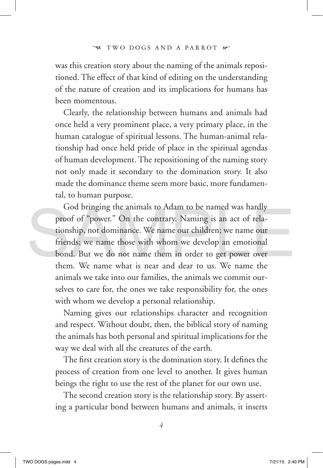was this creation story about the naming of the animals repositioned. The effect of that kind of editing on the understanding of the nature of creation and its implications for humans has been momentous.

Clearly, the relationship between humans and animals had once held a very prominent place, a very primary place, in the human catalogue of spiritual lessons. The human-animal relationship had once held pride of place in the spiritual agendas of human development. The repositioning of the naming story not only made it secondary to the domination story. It also made the dominance theme seem more basic, more fundamental, to human purpose.

God bringing the animals to Adam to be named was hardly proof of "power." On the contrary. Naming is an act of relationship, not dominance. We name our children; we name our friends; we name those with whom we develop an emotional bond. But we do not name them in order to get power over them. We name what is near and dear to us. We name the animals we take into our families, the animals we commit ourselves to care for, the ones we take responsibility for, the ones with whom we develop a personal relationship. God bringing the animals to Adam to be hamed was nardly<br>proof of "power." On the contrary. Naming is an act of rela-<br>tionship, not dominance. We name our children; we name our<br>friends; we name those with whom we develop an

> Naming gives our relationships character and recognition and respect. Without doubt, then, the biblical story of naming the animals has both personal and spiritual implications for the way we deal with all the creatures of the earth.

> The first creation story is the domination story. It defines the process of creation from one level to another. It gives human beings the right to use the rest of the planet for our own use.

> The second creation story is the relationship story. By asserting a particular bond between humans and animals, it inserts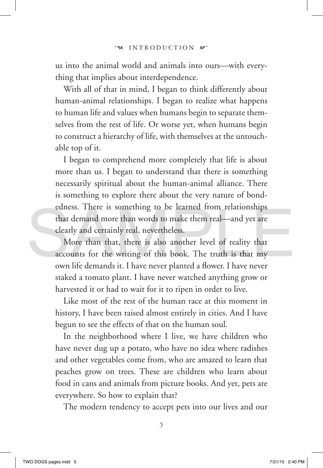us into the animal world and animals into ours—with everything that implies about interdependence.

With all of that in mind, I began to think differently about human-animal relationships. I began to realize what happens to human life and values when humans begin to separate themselves from the rest of life. Or worse yet, when humans begin to construct a hierarchy of life, with themselves at the untouchable top of it.

I began to comprehend more completely that life is about more than us. I began to understand that there is something necessarily spiritual about the human-animal alliance. There is something to explore there about the very nature of bondedness. There is something to be learned from relationships that demand more than words to make them real—and yet are clearly and certainly real, nevertheless.

More than that, there is also another level of reality that accounts for the writing of this book. The truth is that my own life demands it. I have never planted a flower. I have never staked a tomato plant. I have never watched anything grow or harvested it or had to wait for it to ripen in order to live. edness. I nere is something to be learned from relationships<br>that demand more than words to make them real—and yet are<br>clearly and certainly real, nevertheless.<br>More than that, there is also another level of reality that<br>a

> Like most of the rest of the human race at this moment in history, I have been raised almost entirely in cities. And I have begun to see the effects of that on the human soul.

> In the neighborhood where I live, we have children who have never dug up a potato, who have no idea where radishes and other vegetables come from, who are amazed to learn that peaches grow on trees. These are children who learn about food in cans and animals from picture books. And yet, pets are everywhere. So how to explain that?

The modern tendency to accept pets into our lives and our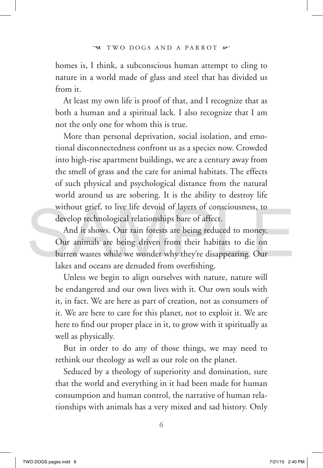homes is, I think, a subconscious human attempt to cling to nature in a world made of glass and steel that has divided us from it.

At least my own life is proof of that, and I recognize that as both a human and a spiritual lack. I also recognize that I am not the only one for whom this is true.

More than personal deprivation, social isolation, and emotional disconnectedness confront us as a species now. Crowded into high-rise apartment buildings, we are a century away from the smell of grass and the care for animal habitats. The effects of such physical and psychological distance from the natural world around us are sobering. It is the ability to destroy life without grief, to live life devoid of layers of consciousness, to develop technological relationships bare of affect.

And it shows. Our rain forests are being reduced to money. Our animals are being driven from their habitats to die on barren wastes while we wonder why they're disappearing. Our lakes and oceans are denuded from overfishing. without grier, to live life devoted or layers or consciousness, to<br>develop technological relationships bare of affect.<br>And it shows. Our rain forests are being reduced to money.<br>Our animals are being driven from their habi

Unless we begin to align ourselves with nature, nature will be endangered and our own lives with it. Our own souls with it, in fact. We are here as part of creation, not as consumers of it. We are here to care for this planet, not to exploit it. We are here to find our proper place in it, to grow with it spiritually as well as physically.

But in order to do any of those things, we may need to rethink our theology as well as our role on the planet.

Seduced by a theology of superiority and domination, sure that the world and everything in it had been made for human consumption and human control, the narrative of human relationships with animals has a very mixed and sad history. Only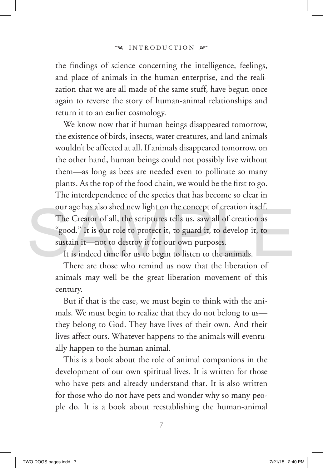the findings of science concerning the intelligence, feelings, and place of animals in the human enterprise, and the realization that we are all made of the same stuff, have begun once again to reverse the story of human-animal relationships and return it to an earlier cosmology.

We know now that if human beings disappeared tomorrow, the existence of birds, insects, water creatures, and land animals wouldn't be affected at all. If animals disappeared tomorrow, on the other hand, human beings could not possibly live without them—as long as bees are needed even to pollinate so many plants. As the top of the food chain, we would be the first to go. The interdependence of the species that has become so clear in our age has also shed new light on the concept of creation itself. The Creator of all, the scriptures tells us, saw all of creation as "good." It is our role to protect it, to guard it, to develop it, to sustain it—not to destroy it for our own purposes. our age has also shed new light on the concept or creation itself.<br>The Creator of all, the scriptures tells us, saw all of creation as<br>"good." It is our role to protect it, to guard it, to develop it, to<br>sustain it—not to

It is indeed time for us to begin to listen to the animals.

There are those who remind us now that the liberation of animals may well be the great liberation movement of this century.

But if that is the case, we must begin to think with the animals. We must begin to realize that they do not belong to us they belong to God. They have lives of their own. And their lives affect ours. Whatever happens to the animals will eventually happen to the human animal.

This is a book about the role of animal companions in the development of our own spiritual lives. It is written for those who have pets and already understand that. It is also written for those who do not have pets and wonder why so many people do. It is a book about reestablishing the human-animal

*7*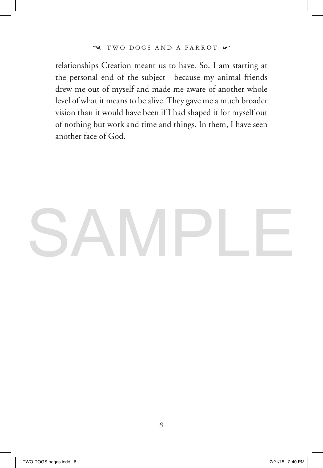relationships Creation meant us to have. So, I am starting at the personal end of the subject—because my animal friends drew me out of myself and made me aware of another whole level of what it means to be alive. They gave me a much broader vision than it would have been if I had shaped it for myself out of nothing but work and time and things. In them, I have seen another face of God.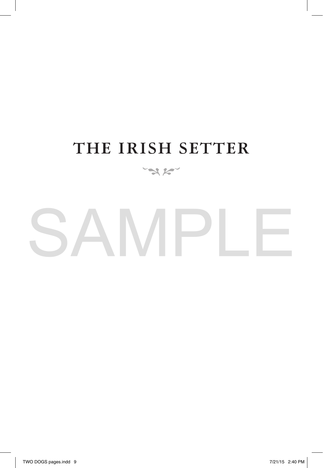#### **THE IRISH SETTER**

WE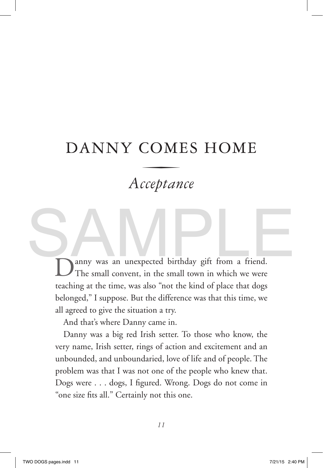#### DANNY COMES HOME

#### *Acceptance* -

Danny was an unexpected birthday gift from a friend. The small convent, in the small town in which we were teaching at the time, was also "not the kind of place that dogs belonged," I suppose. But the difference was that this time, we all agreed to give the situation a try. anny was an unexpected birthday gift from a friend.

And that's where Danny came in.

Danny was a big red Irish setter. To those who know, the very name, Irish setter, rings of action and excitement and an unbounded, and unboundaried, love of life and of people. The problem was that I was not one of the people who knew that. Dogs were . . . dogs, I figured. Wrong. Dogs do not come in "one size fits all." Certainly not this one.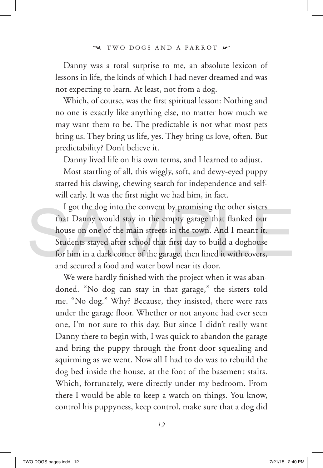Danny was a total surprise to me, an absolute lexicon of lessons in life, the kinds of which I had never dreamed and was not expecting to learn. At least, not from a dog.

Which, of course, was the first spiritual lesson: Nothing and no one is exactly like anything else, no matter how much we may want them to be. The predictable is not what most pets bring us. They bring us life, yes. They bring us love, often. But predictability? Don't believe it.

Danny lived life on his own terms, and I learned to adjust.

Most startling of all, this wiggly, soft, and dewy-eyed puppy started his clawing, chewing search for independence and selfwill early. It was the first night we had him, in fact.

I got the dog into the convent by promising the other sisters that Danny would stay in the empty garage that flanked our house on one of the main streets in the town. And I meant it. Students stayed after school that first day to build a doghouse for him in a dark corner of the garage, then lined it with covers, and secured a food and water bowl near its door. I got the dog into the convent by promising the other sisters<br>that Danny would stay in the empty garage that flanked our<br>house on one of the main streets in the town. And I meant it.<br>Students stayed after school that first

We were hardly finished with the project when it was abandoned. "No dog can stay in that garage," the sisters told me. "No dog." Why? Because, they insisted, there were rats under the garage floor. Whether or not anyone had ever seen one, I'm not sure to this day. But since I didn't really want Danny there to begin with, I was quick to abandon the garage and bring the puppy through the front door squealing and squirming as we went. Now all I had to do was to rebuild the dog bed inside the house, at the foot of the basement stairs. Which, fortunately, were directly under my bedroom. From there I would be able to keep a watch on things. You know, control his puppyness, keep control, make sure that a dog did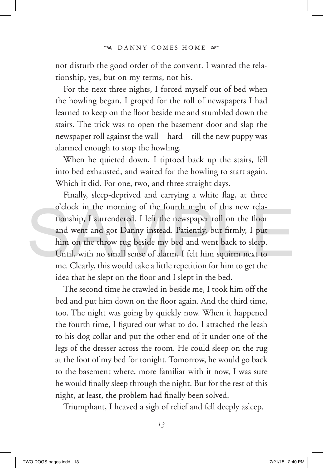not disturb the good order of the convent. I wanted the relationship, yes, but on my terms, not his.

For the next three nights, I forced myself out of bed when the howling began. I groped for the roll of newspapers I had learned to keep on the floor beside me and stumbled down the stairs. The trick was to open the basement door and slap the newspaper roll against the wall—hard—till the new puppy was alarmed enough to stop the howling.

When he quieted down, I tiptoed back up the stairs, fell into bed exhausted, and waited for the howling to start again. Which it did. For one, two, and three straight days.

Finally, sleep-deprived and carrying a white flag, at three o'clock in the morning of the fourth night of this new relationship, I surrendered. I left the newspaper roll on the floor and went and got Danny instead. Patiently, but firmly, I put him on the throw rug beside my bed and went back to sleep. Until, with no small sense of alarm, I felt him squirm next to me. Clearly, this would take a little repetition for him to get the idea that he slept on the floor and I slept in the bed. o clock in the morning or the fourth hight or this new rela-<br>tionship, I surrendered. I left the newspaper roll on the floor<br>and went and got Danny instead. Patiently, but firmly, I put<br>him on the throw rug beside my bed a

> The second time he crawled in beside me, I took him off the bed and put him down on the floor again. And the third time, too. The night was going by quickly now. When it happened the fourth time, I figured out what to do. I attached the leash to his dog collar and put the other end of it under one of the legs of the dresser across the room. He could sleep on the rug at the foot of my bed for tonight. Tomorrow, he would go back to the basement where, more familiar with it now, I was sure he would finally sleep through the night. But for the rest of this night, at least, the problem had finally been solved.

Triumphant, I heaved a sigh of relief and fell deeply asleep.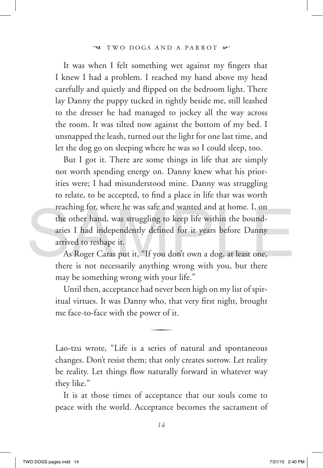It was when I felt something wet against my fingers that I knew I had a problem. I reached my hand above my head carefully and quietly and flipped on the bedroom light. There lay Danny the puppy tucked in tightly beside me, still leashed to the dresser he had managed to jockey all the way across the room. It was tilted now against the bottom of my bed. I unsnapped the leash, turned out the light for one last time, and let the dog go on sleeping where he was so I could sleep, too.

But I got it. There are some things in life that are simply not worth spending energy on. Danny knew what his priorities were; I had misunderstood mine. Danny was struggling to relate, to be accepted, to find a place in life that was worth reaching for, where he was safe and wanted and at home. I, on the other hand, was struggling to keep life within the boundaries I had independently defined for it years before Danny arrived to reshape it. reaching for, where he was sare and wanted and at nome. 1, on<br>the other hand, was struggling to keep life within the bound-<br>aries I had independently defined for it years before Danny<br>arrived to reshape it.<br>As Roger Caras

As Roger Caras put it, "If you don't own a dog, at least one, there is not necessarily anything wrong with you, but there may be something wrong with your life."

Until then, acceptance had never been high on my list of spiritual virtues. It was Danny who, that very first night, brought me face-to-face with the power of it.

-

Lao-tzu wrote, "Life is a series of natural and spontaneous changes. Don't resist them; that only creates sorrow. Let reality be reality. Let things flow naturally forward in whatever way they like."

It is at those times of acceptance that our souls come to peace with the world. Acceptance becomes the sacrament of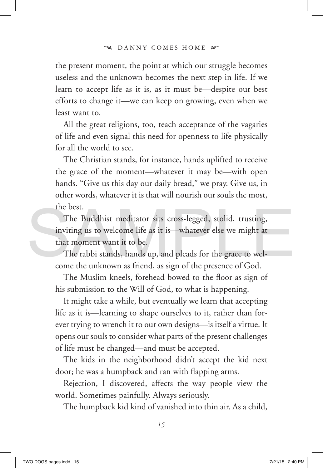the present moment, the point at which our struggle becomes useless and the unknown becomes the next step in life. If we learn to accept life as it is, as it must be—despite our best efforts to change it—we can keep on growing, even when we least want to.

All the great religions, too, teach acceptance of the vagaries of life and even signal this need for openness to life physically for all the world to see.

The Christian stands, for instance, hands uplifted to receive the grace of the moment—whatever it may be—with open hands. "Give us this day our daily bread," we pray. Give us, in other words, whatever it is that will nourish our souls the most, the best.

The Buddhist meditator sits cross-legged, stolid, trusting, inviting us to welcome life as it is—whatever else we might at that moment want it to be. The Buddhist meditator sits cross-legged, stolid, trusting,<br>inviting us to welcome life as it is—whatever else we might at<br>that moment want it to be.<br>The rabbi stands, hands up, and pleads for the grace to wel-<br>come the un

The rabbi stands, hands up, and pleads for the grace to welcome the unknown as friend, as sign of the presence of God.

The Muslim kneels, forehead bowed to the floor as sign of his submission to the Will of God, to what is happening.

It might take a while, but eventually we learn that accepting life as it is—learning to shape ourselves to it, rather than forever trying to wrench it to our own designs—is itself a virtue. It opens our souls to consider what parts of the present challenges of life must be changed—and must be accepted.

The kids in the neighborhood didn't accept the kid next door; he was a humpback and ran with flapping arms.

Rejection, I discovered, affects the way people view the world. Sometimes painfully. Always seriously.

The humpback kid kind of vanished into thin air. As a child,